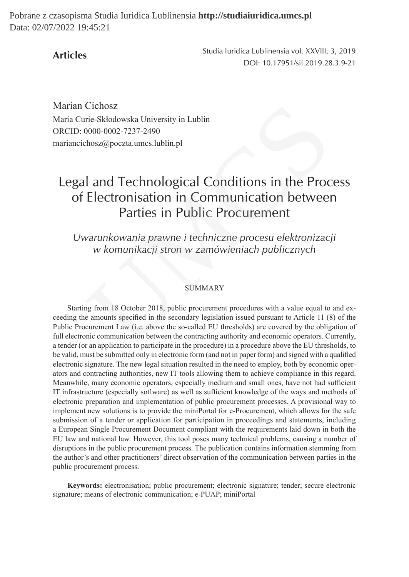**Articles**

Studia Iuridica Lublinensia vol. XXVIII, 3, 2019

DOI: 10.17951/sil.2019.28.3.9-21

Marian Cichosz Maria Curie-Skłodowska University in Lublin ORCID: 0000-0002-7237-2490 mariancichosz@poczta.umcs.lublin.pl

# Legal and Technological Conditions in the Process of Electronisation in Communication between Parties in Public Procurement

*Uwarunkowania prawne i techniczne procesu elektronizacji w komunikacji stron w zamówieniach publicznych*

#### SUMMARY

Starting from 18 October 2018, public procurement procedures with a value equal to and exceeding the amounts specified in the secondary legislation issued pursuant to Article 11 (8) of the Public Procurement Law (i.e. above the so-called EU thresholds) are covered by the obligation of full electronic communication between the contracting authority and economic operators. Currently, a tender (or an application to participate in the procedure) in a procedure above the EU thresholds, to be valid, must be submitted only in electronic form (and not in paper form) and signed with a qualified electronic signature. The new legal situation resulted in the need to employ, both by economic operators and contracting authorities, new IT tools allowing them to achieve compliance in this regard. Meanwhile, many economic operators, especially medium and small ones, have not had sufficient IT infrastructure (especially software) as well as sufficient knowledge of the ways and methods of electronic preparation and implementation of public procurement processes. A provisional way to implement new solutions is to provide the miniPortal for e-Procurement, which allows for the safe submission of a tender or application for participation in proceedings and statements, including a European Single Procurement Document compliant with the requirements laid down in both the EU law and national law. However, this tool poses many technical problems, causing a number of disruptions in the public procurement process. The publication contains information stemming from the author's and other practitioners' direct observation of the communication between parties in the public procurement process. Cichosz<br>
rie-Skłodowska University in Lublin<br>
0000-0002-7237-2490<br>
chosz@poczta.umcs.lublin.pl<br>
1<br> **and Technological Conditions in the Proce**<br> **Parties in Public Procurement**<br>
varunkowania prawne i techniczne procesu elek

**Keywords:** electronisation; public procurement; electronic signature; tender; secure electronic signature; means of electronic communication; e-PUAP; miniPortal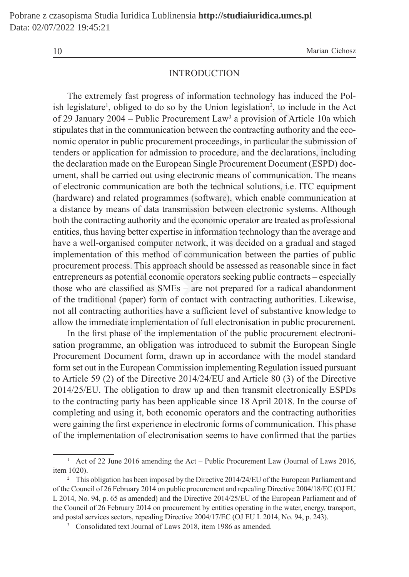10 Marian Cichosz

#### INTRODUCTION

The extremely fast progress of information technology has induced the Polish legislature<sup>1</sup>, obliged to do so by the Union legislation<sup>2</sup>, to include in the Act of 29 January 2004 – Public Procurement Law<sup>3</sup> a provision of Article 10a which stipulates that in the communication between the contracting authority and the economic operator in public procurement proceedings, in particular the submission of tenders or application for admission to procedure, and the declarations, including the declaration made on the European Single Procurement Document (ESPD) document, shall be carried out using electronic means of communication. The means of electronic communication are both the technical solutions, i.e. ITC equipment (hardware) and related programmes (software), which enable communication at a distance by means of data transmission between electronic systems. Although both the contracting authority and the economic operator are treated as professional entities, thus having better expertise in information technology than the average and have a well-organised computer network, it was decided on a gradual and staged implementation of this method of communication between the parties of public procurement process. This approach should be assessed as reasonable since in fact entrepreneurs as potential economic operators seeking public contracts – especially those who are classified as SMEs – are not prepared for a radical abandonment of the traditional (paper) form of contact with contracting authorities. Likewise, not all contracting authorities have a sufficient level of substantive knowledge to allow the immediate implementation of full electronisation in public procurement. lature<sup>1</sup>, obliged to do so by the Union legislation<sup>2</sup>, to include in tuary 2004 – Public Procurement Law<sup>3</sup> a provision of Article 10a s that in the communication between the contracting authority and the some sperator i

In the first phase of the implementation of the public procurement electronisation programme, an obligation was introduced to submit the European Single Procurement Document form, drawn up in accordance with the model standard form set out in the European Commission implementing Regulation issued pursuant to Article 59 (2) of the Directive 2014/24/EU and Article 80 (3) of the Directive 2014/25/EU. The obligation to draw up and then transmit electronically ESPDs to the contracting party has been applicable since 18 April 2018. In the course of completing and using it, both economic operators and the contracting authorities were gaining the first experience in electronic forms of communication. This phase of the implementation of electronisation seems to have confirmed that the parties

<sup>&</sup>lt;sup>1</sup> Act of 22 June 2016 amending the Act – Public Procurement Law (Journal of Laws 2016, item 1020).

<sup>&</sup>lt;sup>2</sup> This obligation has been imposed by the Directive 2014/24/EU of the European Parliament and of the Council of 26 February 2014 on public procurement and repealing Directive 2004/18/EC (OJ EU L 2014, No. 94, p. 65 as amended) and the Directive 2014/25/EU of the European Parliament and of the Council of 26 February 2014 on procurement by entities operating in the water, energy, transport, and postal services sectors, repealing Directive 2004/17/EC (OJ EU L 2014, No. 94, p. 243).

<sup>&</sup>lt;sup>3</sup> Consolidated text Journal of Laws 2018, item 1986 as amended.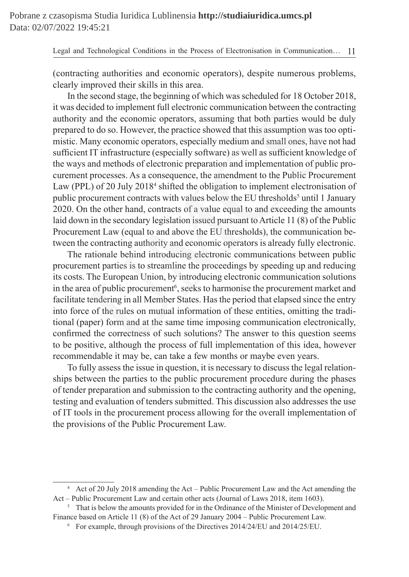(contracting authorities and economic operators), despite numerous problems, clearly improved their skills in this area.

In the second stage, the beginning of which was scheduled for 18 October 2018, it was decided to implement full electronic communication between the contracting authority and the economic operators, assuming that both parties would be duly prepared to do so. However, the practice showed that this assumption was too optimistic. Many economic operators, especially medium and small ones, have not had sufficient IT infrastructure (especially software) as well as sufficient knowledge of the ways and methods of electronic preparation and implementation of public procurement processes. As a consequence, the amendment to the Public Procurement Law (PPL) of 20 July 2018<sup>4</sup> shifted the obligation to implement electronisation of public procurement contracts with values below the EU thresholds<sup>5</sup> until 1 January 2020. On the other hand, contracts of a value equal to and exceeding the amounts laid down in the secondary legislation issued pursuant to Article 11 (8) of the Public Procurement Law (equal to and above the EU thresholds), the communication between the contracting authority and economic operators is already fully electronic. cided to implement full electronic communication between the cont<br> *x* and the economic operators, assuming that both parties would b<br>
to do so. However, the practice showed that this assumption was to<br>
flany economic oper

The rationale behind introducing electronic communications between public procurement parties is to streamline the proceedings by speeding up and reducing its costs. The European Union, by introducing electronic communication solutions in the area of public procurement<sup>6</sup>, seeks to harmonise the procurement market and facilitate tendering in all Member States. Has the period that elapsed since the entry into force of the rules on mutual information of these entities, omitting the traditional (paper) form and at the same time imposing communication electronically, confirmed the correctness of such solutions? The answer to this question seems to be positive, although the process of full implementation of this idea, however recommendable it may be, can take a few months or maybe even years.

To fully assess the issue in question, it is necessary to discuss the legal relationships between the parties to the public procurement procedure during the phases of tender preparation and submission to the contracting authority and the opening, testing and evaluation of tenders submitted. This discussion also addresses the use of IT tools in the procurement process allowing for the overall implementation of the provisions of the Public Procurement Law.

<sup>4</sup> Act of 20 July 2018 amending the Act – Public Procurement Law and the Act amending the Act – Public Procurement Law and certain other acts (Journal of Laws 2018, item 1603).

<sup>&</sup>lt;sup>5</sup> That is below the amounts provided for in the Ordinance of the Minister of Development and Finance based on Article 11 (8) of the Act of 29 January 2004 – Public Procurement Law.

 $6\text{ }$  For example, through provisions of the Directives 2014/24/EU and 2014/25/EU.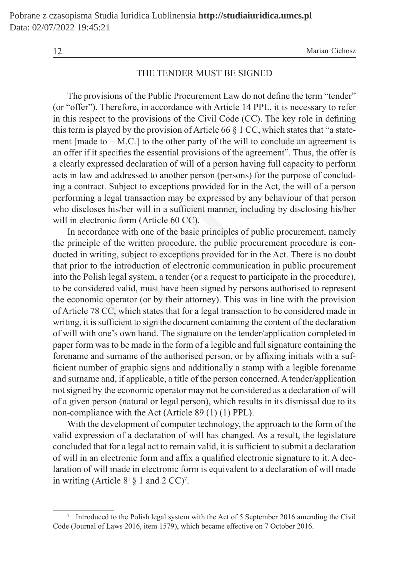12 Marian Cichosz

### THE TENDER MUST BE SIGNED

The provisions of the Public Procurement Law do not define the term "tender" (or "offer"). Therefore, in accordance with Article 14 PPL, it is necessary to refer in this respect to the provisions of the Civil Code (CC). The key role in defining this term is played by the provision of Article 66  $\S$  1 CC, which states that "a statement  $[made to - M.C.]$  to the other party of the will to conclude an agreement is an offer if it specifies the essential provisions of the agreement". Thus, the offer is a clearly expressed declaration of will of a person having full capacity to perform acts in law and addressed to another person (persons) for the purpose of concluding a contract. Subject to exceptions provided for in the Act, the will of a person performing a legal transaction may be expressed by any behaviour of that person who discloses his/her will in a sufficient manner, including by disclosing his/her will in electronic form (Article 60 CC).

In accordance with one of the basic principles of public procurement, namely the principle of the written procedure, the public procurement procedure is conducted in writing, subject to exceptions provided for in the Act. There is no doubt that prior to the introduction of electronic communication in public procurement into the Polish legal system, a tender (or a request to participate in the procedure), to be considered valid, must have been signed by persons authorised to represent the economic operator (or by their attorney). This was in line with the provision of Article 78 CC, which states that for a legal transaction to be considered made in writing, it is sufficient to sign the document containing the content of the declaration of will with one's own hand. The signature on the tender/application completed in paper form was to be made in the form of a legible and full signature containing the forename and surname of the authorised person, or by affixing initials with a sufficient number of graphic signs and additionally a stamp with a legible forename and surname and, if applicable, a title of the person concerned. A tender/application not signed by the economic operator may not be considered as a declaration of will of a given person (natural or legal person), which results in its dismissal due to its non-compliance with the Act (Article 89 (1) (1) PPL). r"). Therefore, in accordance with Article 14 PPL, it is necessary typspect to the provisions of the Civil Code (CC). The key role in dis played by the provision of Article 66 § 1 CC, which states that "idea to  $- M.C.$ ] to

With the development of computer technology, the approach to the form of the valid expression of a declaration of will has changed. As a result, the legislature concluded that for a legal act to remain valid, it is sufficient to submit a declaration of will in an electronic form and affix a qualified electronic signature to it. A declaration of will made in electronic form is equivalent to a declaration of will made in writing (Article  $8<sup>1</sup> \S 1$  and  $2 CC$ )<sup>7</sup>.

<sup>7</sup> Introduced to the Polish legal system with the Act of 5 September 2016 amending the Civil Code (Journal of Laws 2016, item 1579), which became effective on 7 October 2016.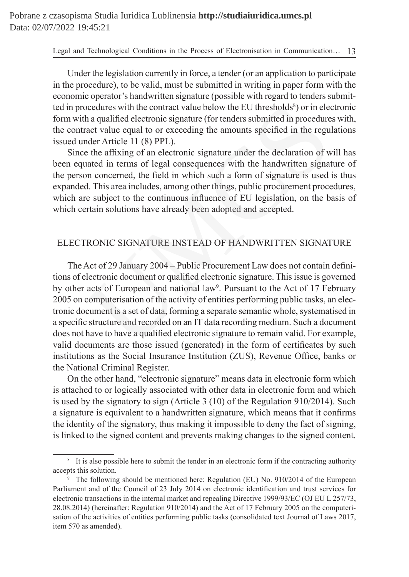Under the legislation currently in force, a tender (or an application to participate in the procedure), to be valid, must be submitted in writing in paper form with the economic operator's handwritten signature (possible with regard to tenders submitted in procedures with the contract value below the EU thresholds<sup>8</sup>) or in electronic form with a qualified electronic signature (for tenders submitted in procedures with, the contract value equal to or exceeding the amounts specified in the regulations issued under Article 11 (8) PPL).

Since the affixing of an electronic signature under the declaration of will has been equated in terms of legal consequences with the handwritten signature of the person concerned, the field in which such a form of signature is used is thus expanded. This area includes, among other things, public procurement procedures, which are subject to the continuous influence of EU legislation, on the basis of which certain solutions have already been adopted and accepted.

#### ELECTRONIC SIGNATURE INSTEAD OF HANDWRITTEN SIGNATURE

The Act of 29 January 2004 – Public Procurement Law does not contain definitions of electronic document or qualified electronic signature. This issue is governed by other acts of European and national law<sup>9</sup>. Pursuant to the Act of 17 February 2005 on computerisation of the activity of entities performing public tasks, an electronic document is a set of data, forming a separate semantic whole, systematised in a specific structure and recorded on an IT data recording medium. Such a document does not have to have a qualified electronic signature to remain valid. For example, valid documents are those issued (generated) in the form of certificates by such institutions as the Social Insurance Institution (ZUS), Revenue Office, banks or the National Criminal Register. ocedures with the contract value below the EU thresholds<sup>8</sup>) or in elected and a qualified electronic signature (for tenders submitted in procedure act value equal to or exceeding the amounts specified in the regulare Arti

On the other hand, "electronic signature" means data in electronic form which is attached to or logically associated with other data in electronic form and which is used by the signatory to sign (Article 3 (10) of the Regulation 910/2014). Such a signature is equivalent to a handwritten signature, which means that it confirms the identity of the signatory, thus making it impossible to deny the fact of signing, is linked to the signed content and prevents making changes to the signed content.

<sup>&</sup>lt;sup>8</sup> It is also possible here to submit the tender in an electronic form if the contracting authority accepts this solution.

<sup>&</sup>lt;sup>9</sup> The following should be mentioned here: Regulation (EU) No. 910/2014 of the European Parliament and of the Council of 23 July 2014 on electronic identification and trust services for electronic transactions in the internal market and repealing Directive 1999/93/EC (OJ EU L 257/73, 28.08.2014) (hereinafter: Regulation 910/2014) and the Act of 17 February 2005 on the computerisation of the activities of entities performing public tasks (consolidated text Journal of Laws 2017, item 570 as amended).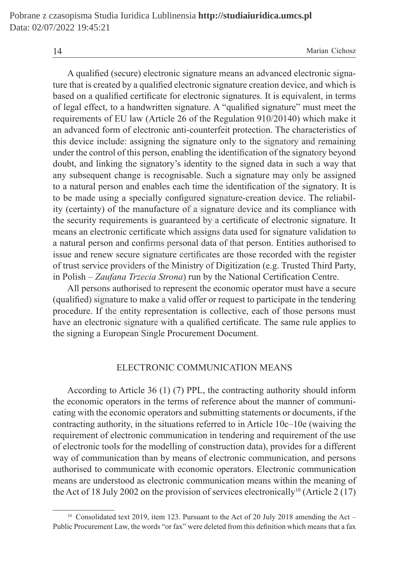A qualified (secure) electronic signature means an advanced electronic signature that is created by a qualified electronic signature creation device, and which is based on a qualified certificate for electronic signatures. It is equivalent, in terms of legal effect, to a handwritten signature. A "qualified signature" must meet the requirements of EU law (Article 26 of the Regulation 910/20140) which make it an advanced form of electronic anti-counterfeit protection. The characteristics of this device include: assigning the signature only to the signatory and remaining under the control of this person, enabling the identification of the signatory beyond doubt, and linking the signatory's identity to the signed data in such a way that any subsequent change is recognisable. Such a signature may only be assigned to a natural person and enables each time the identification of the signatory. It is to be made using a specially configured signature-creation device. The reliability (certainty) of the manufacture of a signature device and its compliance with the security requirements is guaranteed by a certificate of electronic signature. It means an electronic certificate which assigns data used for signature validation to a natural person and confirms personal data of that person. Entities authorised to issue and renew secure signature certificates are those recorded with the register of trust service providers of the Ministry of Digitization (e.g. Trusted Third Party, in Polish – *Zaufana Trzecia Strona*) run by the National Certification Centre. effect, to a handwritten signature. A "qualified signature" must m<br>ents of EU law (Article 26 of the Regulation 910/20140) which n<br>ced form of electronic anti-counterfeit protection. The characteris<br>ce include: assigning

All persons authorised to represent the economic operator must have a secure (qualified) signature to make a valid offer or request to participate in the tendering procedure. If the entity representation is collective, each of those persons must have an electronic signature with a qualified certificate. The same rule applies to the signing a European Single Procurement Document.

#### ELECTRONIC COMMUNICATION MEANS

According to Article 36 (1) (7) PPL, the contracting authority should inform the economic operators in the terms of reference about the manner of communicating with the economic operators and submitting statements or documents, if the contracting authority, in the situations referred to in Article 10c–10e (waiving the requirement of electronic communication in tendering and requirement of the use of electronic tools for the modelling of construction data), provides for a different way of communication than by means of electronic communication, and persons authorised to communicate with economic operators. Electronic communication means are understood as electronic communication means within the meaning of the Act of 18 July 2002 on the provision of services electronically<sup>10</sup> (Article 2 (17)

<sup>&</sup>lt;sup>10</sup> Consolidated text 2019, item 123. Pursuant to the Act of 20 July 2018 amending the Act – Public Procurement Law, the words "or fax" were deleted from this definition which means that a fax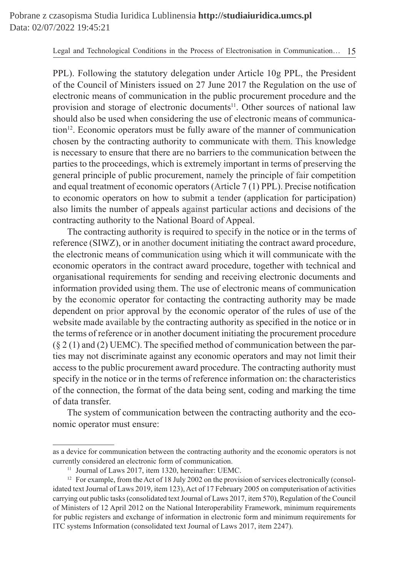PPL). Following the statutory delegation under Article 10g PPL, the President of the Council of Ministers issued on 27 June 2017 the Regulation on the use of electronic means of communication in the public procurement procedure and the provision and storage of electronic documents<sup>11</sup>. Other sources of national law should also be used when considering the use of electronic means of communication<sup>12</sup>. Economic operators must be fully aware of the manner of communication chosen by the contracting authority to communicate with them. This knowledge is necessary to ensure that there are no barriers to the communication between the parties to the proceedings, which is extremely important in terms of preserving the general principle of public procurement, namely the principle of fair competition and equal treatment of economic operators (Article 7 (1) PPL). Precise notification to economic operators on how to submit a tender (application for participation) also limits the number of appeals against particular actions and decisions of the contracting authority to the National Board of Appeal.

The contracting authority is required to specify in the notice or in the terms of reference (SIWZ), or in another document initiating the contract award procedure, the electronic means of communication using which it will communicate with the economic operators in the contract award procedure, together with technical and organisational requirements for sending and receiving electronic documents and information provided using them. The use of electronic means of communication by the economic operator for contacting the contracting authority may be made dependent on prior approval by the economic operator of the rules of use of the website made available by the contracting authority as specified in the notice or in the terms of reference or in another document initiating the procurement procedure  $(\S 2(1)$  and (2) UEMC). The specified method of communication between the parties may not discriminate against any economic operators and may not limit their access to the public procurement award procedure. The contracting authority must specify in the notice or in the terms of reference information on: the characteristics of the connection, the format of the data being sent, coding and marking the time of data transfer. n and storage of electronic documents<sup>11</sup>. Other sources of nation<br>so be used when considering the use of electronic means of comm<br>conomic operators must be fully aware of the manner of commun.<br>conomic operators must be fu

The system of communication between the contracting authority and the economic operator must ensure:

as a device for communication between the contracting authority and the economic operators is not currently considered an electronic form of communication.

<sup>&</sup>lt;sup>11</sup> Journal of Laws 2017, item 1320, hereinafter: UEMC.

<sup>&</sup>lt;sup>12</sup> For example, from the Act of 18 July 2002 on the provision of services electronically (consolidated text Journal of Laws 2019, item 123), Act of 17 February 2005 on computerisation of activities carrying out public tasks (consolidated text Journal of Laws 2017, item 570), Regulation of the Council of Ministers of 12 April 2012 on the National Interoperability Framework, minimum requirements for public registers and exchange of information in electronic form and minimum requirements for ITC systems Information (consolidated text Journal of Laws 2017, item 2247).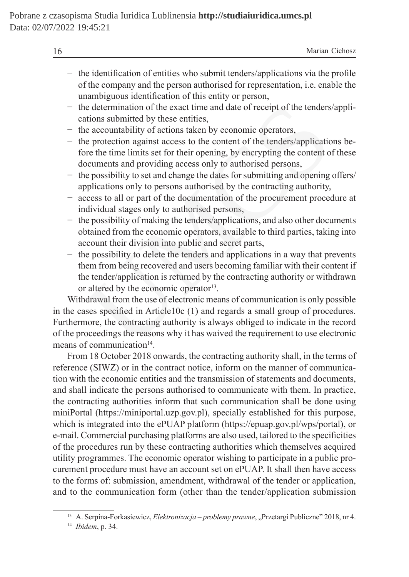| 1 <sub>1</sub><br>1 U |  | $\Delta$ for $\Delta$ | $\sim$ $-$<br>:nosz<br>тианан ( |
|-----------------------|--|-----------------------|---------------------------------|
|                       |  |                       |                                 |

- − the identification of entities who submit tenders/applications via the profile of the company and the person authorised for representation, i.e. enable the unambiguous identification of this entity or person,
- − the determination of the exact time and date of receipt of the tenders/applications submitted by these entities,
- − the accountability of actions taken by economic operators,
- − the protection against access to the content of the tenders/applications before the time limits set for their opening, by encrypting the content of these documents and providing access only to authorised persons,
- − the possibility to set and change the dates for submitting and opening offers/ applications only to persons authorised by the contracting authority,
- − access to all or part of the documentation of the procurement procedure at individual stages only to authorised persons,
- − the possibility of making the tenders/applications, and also other documents obtained from the economic operators, available to third parties, taking into account their division into public and secret parts,
- − the possibility to delete the tenders and applications in a way that prevents them from being recovered and users becoming familiar with their content if the tender/application is returned by the contracting authority or withdrawn or altered by the economic operator<sup>13</sup>.

Withdrawal from the use of electronic means of communication is only possible in the cases specified in Article10c (1) and regards a small group of procedures. Furthermore, the contracting authority is always obliged to indicate in the record of the proceedings the reasons why it has waived the requirement to use electronic means of communication<sup>14</sup>. e determination of the exact time and date of receipt of the tenders<br>tions submitted by these entities,<br>e accountability of actions taken by economic operators,<br>e protection against access to the content of the tenders/app

From 18 October 2018 onwards, the contracting authority shall, in the terms of reference (SIWZ) or in the contract notice, inform on the manner of communication with the economic entities and the transmission of statements and documents, and shall indicate the persons authorised to communicate with them. In practice, the contracting authorities inform that such communication shall be done using miniPortal (https://miniportal.uzp.gov.pl), specially established for this purpose, which is integrated into the ePUAP platform (https://epuap.gov.pl/wps/portal), or e-mail. Commercial purchasing platforms are also used, tailored to the specificities of the procedures run by these contracting authorities which themselves acquired utility programmes. The economic operator wishing to participate in a public procurement procedure must have an account set on ePUAP. It shall then have access to the forms of: submission, amendment, withdrawal of the tender or application, and to the communication form (other than the tender/application submission

<sup>&</sup>lt;sup>13</sup> A. Serpina-Forkasiewicz, *Elektronizacja – problemy prawne*, "Przetargi Publiczne" 2018, nr 4.

<sup>14</sup> *Ibidem*, p. 34.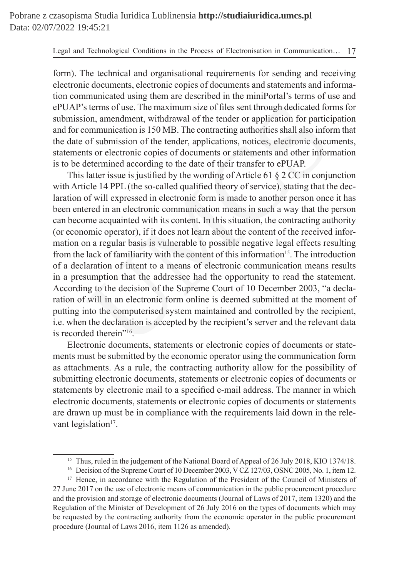form). The technical and organisational requirements for sending and receiving electronic documents, electronic copies of documents and statements and information communicated using them are described in the miniPortal's terms of use and ePUAP's terms of use. The maximum size of files sent through dedicated forms for submission, amendment, withdrawal of the tender or application for participation and for communication is 150 MB. The contracting authorities shall also inform that the date of submission of the tender, applications, notices, electronic documents, statements or electronic copies of documents or statements and other information is to be determined according to the date of their transfer to ePUAP.

This latter issue is justified by the wording of Article 61 § 2 CC in conjunction with Article 14 PPL (the so-called qualified theory of service), stating that the declaration of will expressed in electronic form is made to another person once it has been entered in an electronic communication means in such a way that the person can become acquainted with its content. In this situation, the contracting authority (or economic operator), if it does not learn about the content of the received information on a regular basis is vulnerable to possible negative legal effects resulting from the lack of familiarity with the content of this information<sup>15</sup>. The introduction of a declaration of intent to a means of electronic communication means results in a presumption that the addressee had the opportunity to read the statement. According to the decision of the Supreme Court of 10 December 2003, "a declaration of will in an electronic form online is deemed submitted at the moment of putting into the computerised system maintained and controlled by the recipient, i.e. when the declaration is accepted by the recipient's server and the relevant data is recorded therein"16. sterms of use. The maximum size of files sent through dedicated for<br>on, amendment, withdrawal of the tender or application for partici<br>ommunication is 150 MB. The contracting authorities shall also inform<br>of submission of

Electronic documents, statements or electronic copies of documents or statements must be submitted by the economic operator using the communication form as attachments. As a rule, the contracting authority allow for the possibility of submitting electronic documents, statements or electronic copies of documents or statements by electronic mail to a specified e-mail address. The manner in which electronic documents, statements or electronic copies of documents or statements are drawn up must be in compliance with the requirements laid down in the relevant legislation<sup>17</sup>.

<sup>&</sup>lt;sup>15</sup> Thus, ruled in the judgement of the National Board of Appeal of 26 July 2018, KIO 1374/18.

<sup>&</sup>lt;sup>16</sup> Decision of the Supreme Court of 10 December 2003, V CZ 127/03, OSNC 2005, No. 1, item 12.

<sup>&</sup>lt;sup>17</sup> Hence, in accordance with the Regulation of the President of the Council of Ministers of 27 June 2017 on the use of electronic means of communication in the public procurement procedure and the provision and storage of electronic documents (Journal of Laws of 2017, item 1320) and the Regulation of the Minister of Development of 26 July 2016 on the types of documents which may be requested by the contracting authority from the economic operator in the public procurement procedure (Journal of Laws 2016, item 1126 as amended).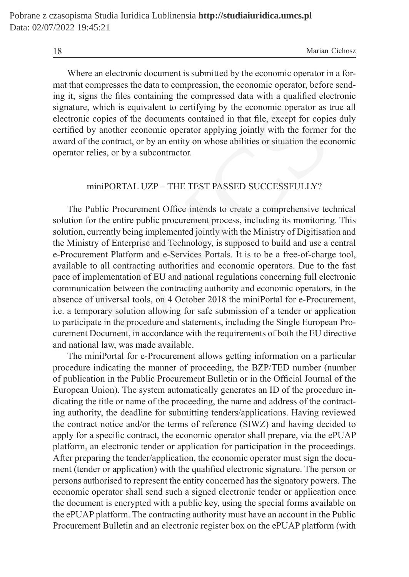18 Marian Cichosz

Where an electronic document is submitted by the economic operator in a format that compresses the data to compression, the economic operator, before sending it, signs the files containing the compressed data with a qualified electronic signature, which is equivalent to certifying by the economic operator as true all electronic copies of the documents contained in that file, except for copies duly certified by another economic operator applying jointly with the former for the award of the contract, or by an entity on whose abilities or situation the economic operator relies, or by a subcontractor.

#### miniPORTAL UZP – THE TEST PASSED SUCCESSFULLY?

The Public Procurement Office intends to create a comprehensive technical solution for the entire public procurement process, including its monitoring. This solution, currently being implemented jointly with the Ministry of Digitisation and the Ministry of Enterprise and Technology, is supposed to build and use a central e-Procurement Platform and e-Services Portals. It is to be a free-of-charge tool, available to all contracting authorities and economic operators. Due to the fast pace of implementation of EU and national regulations concerning full electronic communication between the contracting authority and economic operators, in the absence of universal tools, on 4 October 2018 the miniPortal for e-Procurement, i.e. a temporary solution allowing for safe submission of a tender or application to participate in the procedure and statements, including the Single European Procurement Document, in accordance with the requirements of both the EU directive and national law, was made available. e, which is equivalent to certifying by the economic operator as to copies of the documents contained in that file, except for copies by another economic operator applying jointly with the former of the contract, or by an

The miniPortal for e-Procurement allows getting information on a particular procedure indicating the manner of proceeding, the BZP/TED number (number of publication in the Public Procurement Bulletin or in the Official Journal of the European Union). The system automatically generates an ID of the procedure indicating the title or name of the proceeding, the name and address of the contracting authority, the deadline for submitting tenders/applications. Having reviewed the contract notice and/or the terms of reference (SIWZ) and having decided to apply for a specific contract, the economic operator shall prepare, via the ePUAP platform, an electronic tender or application for participation in the proceedings. After preparing the tender/application, the economic operator must sign the document (tender or application) with the qualified electronic signature. The person or persons authorised to represent the entity concerned has the signatory powers. The economic operator shall send such a signed electronic tender or application once the document is encrypted with a public key, using the special forms available on the ePUAP platform. The contracting authority must have an account in the Public Procurement Bulletin and an electronic register box on the ePUAP platform (with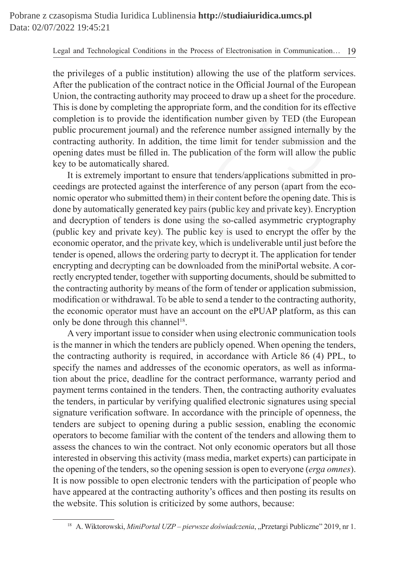the privileges of a public institution) allowing the use of the platform services. After the publication of the contract notice in the Official Journal of the European Union, the contracting authority may proceed to draw up a sheet for the procedure. This is done by completing the appropriate form, and the condition for its effective completion is to provide the identification number given by TED (the European public procurement journal) and the reference number assigned internally by the contracting authority. In addition, the time limit for tender submission and the opening dates must be filled in. The publication of the form will allow the public key to be automatically shared.

It is extremely important to ensure that tenders/applications submitted in proceedings are protected against the interference of any person (apart from the economic operator who submitted them) in their content before the opening date. This is done by automatically generated key pairs (public key and private key). Encryption and decryption of tenders is done using the so-called asymmetric cryptography (public key and private key). The public key is used to encrypt the offer by the economic operator, and the private key, which is undeliverable until just before the tender is opened, allows the ordering party to decrypt it. The application for tender encrypting and decrypting can be downloaded from the miniPortal website. A correctly encrypted tender, together with supporting documents, should be submitted to the contracting authority by means of the form of tender or application submission, modification or withdrawal. To be able to send a tender to the contracting authority, the economic operator must have an account on the ePUAP platform, as this can only be done through this channel<sup>18</sup>. one by completing the appropriate form, and the condition for its ef<br>on is to provide the identification number given by TED (the Eu<br>rocurement journal) and the reference number assigned internally<br>ing authority. In additi

A very important issue to consider when using electronic communication tools is the manner in which the tenders are publicly opened. When opening the tenders, the contracting authority is required, in accordance with Article 86 (4) PPL, to specify the names and addresses of the economic operators, as well as information about the price, deadline for the contract performance, warranty period and payment terms contained in the tenders. Then, the contracting authority evaluates the tenders, in particular by verifying qualified electronic signatures using special signature verification software. In accordance with the principle of openness, the tenders are subject to opening during a public session, enabling the economic operators to become familiar with the content of the tenders and allowing them to assess the chances to win the contract. Not only economic operators but all those interested in observing this activity (mass media, market experts) can participate in the opening of the tenders, so the opening session is open to everyone (*erga omnes*). It is now possible to open electronic tenders with the participation of people who have appeared at the contracting authority's offices and then posting its results on the website. This solution is criticized by some authors, because:

<sup>&</sup>lt;sup>18</sup> A. Wiktorowski, *MiniPortal UZP – pierwsze doświadczenia*, "Przetargi Publiczne" 2019, nr 1.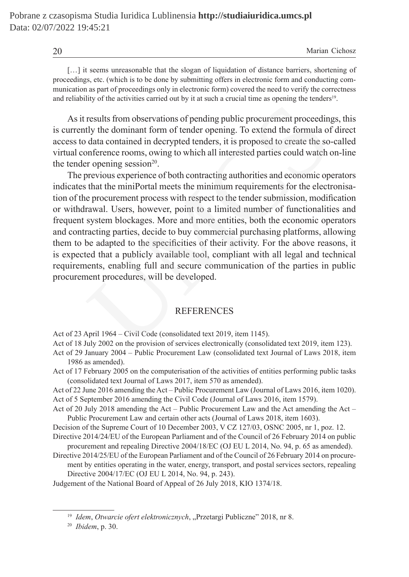| 20 | Marian Cichosz |  |
|----|----------------|--|
|----|----------------|--|

[...] it seems unreasonable that the slogan of liquidation of distance barriers, shortening of proceedings, etc. (which is to be done by submitting offers in electronic form and conducting communication as part of proceedings only in electronic form) covered the need to verify the correctness and reliability of the activities carried out by it at such a crucial time as opening the tenders<sup>19</sup>.

As it results from observations of pending public procurement proceedings, this is currently the dominant form of tender opening. To extend the formula of direct access to data contained in decrypted tenders, it is proposed to create the so-called virtual conference rooms, owing to which all interested parties could watch on-line the tender opening session<sup>20</sup>.

The previous experience of both contracting authorities and economic operators indicates that the miniPortal meets the minimum requirements for the electronisation of the procurement process with respect to the tender submission, modification or withdrawal. Users, however, point to a limited number of functionalities and frequent system blockages. More and more entities, both the economic operators and contracting parties, decide to buy commercial purchasing platforms, allowing them to be adapted to the specificities of their activity. For the above reasons, it is expected that a publicly available tool, compliant with all legal and technical requirements, enabling full and secure communication of the parties in public procurement procedures, will be developed. results from observations of pending public procurement proceedintly the dominant form of tender opening. To extend the formula of data contained in decrypted tenders, it is proposed to create the soorderence rooms, owing

## **REFERENCES**

Act of 23 April 1964 – Civil Code (consolidated text 2019, item 1145).

Act of 18 July 2002 on the provision of services electronically (consolidated text 2019, item 123).

- Act of 29 January 2004 Public Procurement Law (consolidated text Journal of Laws 2018, item 1986 as amended).
- Act of 17 February 2005 on the computerisation of the activities of entities performing public tasks (consolidated text Journal of Laws 2017, item 570 as amended).

Act of 22 June 2016 amending the Act – Public Procurement Law (Journal of Laws 2016, item 1020). Act of 5 September 2016 amending the Civil Code (Journal of Laws 2016, item 1579).

Act of 20 July 2018 amending the Act – Public Procurement Law and the Act amending the Act – Public Procurement Law and certain other acts (Journal of Laws 2018, item 1603).

Decision of the Supreme Court of 10 December 2003, V CZ 127/03, OSNC 2005, nr 1, poz. 12.

Directive 2014/24/EU of the European Parliament and of the Council of 26 February 2014 on public procurement and repealing Directive 2004/18/EC (OJ EU L 2014, No. 94, p. 65 as amended).

Directive 2014/25/EU of the European Parliament and of the Council of 26 February 2014 on procurement by entities operating in the water, energy, transport, and postal services sectors, repealing Directive 2004/17/EC (OJ EU L 2014, No. 94, p. 243).

Judgement of the National Board of Appeal of 26 July 2018, KIO 1374/18.

<sup>&</sup>lt;sup>19</sup> Idem, Otwarcie ofert elektronicznych, "Przetargi Publiczne" 2018, nr 8.

<sup>20</sup> *Ibidem*, p. 30.